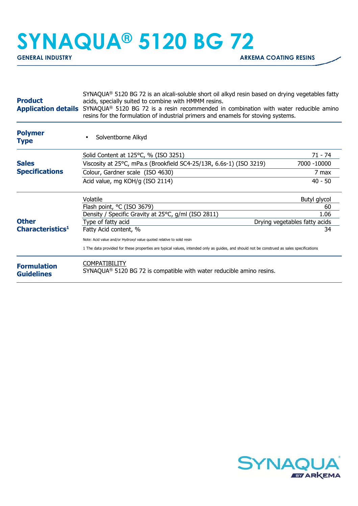## **SYNAQUA® 5120 BG 72**

| <b>Product</b><br><b>Application details</b> | $SYNAQUA®$ 5120 BG 72 is an alcali-soluble short oil alkyd resin based on drying vegetables fatty<br>acids, specially suited to combine with HMMM resins.<br>SYNAQUA® 5120 BG 72 is a resin recommended in combination with water reducible amino<br>resins for the formulation of industrial primers and enamels for stoving systems. |                               |
|----------------------------------------------|----------------------------------------------------------------------------------------------------------------------------------------------------------------------------------------------------------------------------------------------------------------------------------------------------------------------------------------|-------------------------------|
| <b>Polymer</b><br><b>Type</b>                | Solventborne Alkyd                                                                                                                                                                                                                                                                                                                     |                               |
|                                              | Solid Content at 125°C, % (ISO 3251)                                                                                                                                                                                                                                                                                                   | 71 - 74                       |
| <b>Sales</b>                                 | Viscosity at 25°C, mPa.s (Brookfield SC4-25/13R, 6.6s-1) (ISO 3219)                                                                                                                                                                                                                                                                    | 7000 -10000                   |
| <b>Specifications</b>                        | Colour, Gardner scale (ISO 4630)                                                                                                                                                                                                                                                                                                       | 7 max                         |
|                                              | Acid value, mg KOH/g (ISO 2114)                                                                                                                                                                                                                                                                                                        | $40 - 50$                     |
|                                              | Volatile                                                                                                                                                                                                                                                                                                                               | Butyl glycol                  |
|                                              | Flash point, °C (ISO 3679)                                                                                                                                                                                                                                                                                                             | 60                            |
|                                              | Density / Specific Gravity at 25°C, g/ml (ISO 2811)                                                                                                                                                                                                                                                                                    | 1.06                          |
| <b>Other</b>                                 | Type of fatty acid                                                                                                                                                                                                                                                                                                                     | Drying vegetables fatty acids |
| Characteristics <sup>1</sup>                 | Fatty Acid content, %                                                                                                                                                                                                                                                                                                                  | 34                            |
|                                              | Note: Acid value and/or Hydroxyl value quoted relative to solid resin                                                                                                                                                                                                                                                                  |                               |
|                                              | 1 The data provided for these properties are typical values, intended only as guides, and should not be construed as sales specifications                                                                                                                                                                                              |                               |
| <b>Formulation</b><br><b>Guidelines</b>      | <b>COMPATIBILITY</b><br>SYNAQUA <sup>®</sup> 5120 BG 72 is compatible with water reducible amino resins.                                                                                                                                                                                                                               |                               |